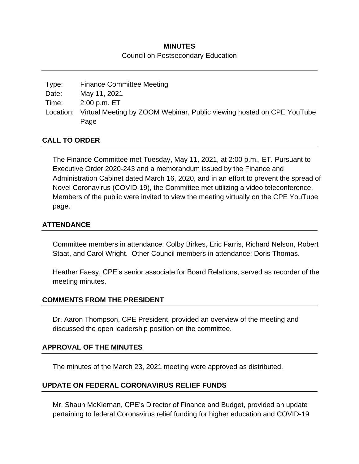## **MINUTES** Council on Postsecondary Education

| Type: | <b>Finance Committee Meeting</b>                                                |
|-------|---------------------------------------------------------------------------------|
| Date: | May 11, 2021                                                                    |
| Time: | $2:00$ p.m. $ET$                                                                |
|       | Location: Virtual Meeting by ZOOM Webinar, Public viewing hosted on CPE YouTube |
|       | Page                                                                            |

### **CALL TO ORDER**

The Finance Committee met Tuesday, May 11, 2021, at 2:00 p.m., ET. Pursuant to Executive Order 2020-243 and a memorandum issued by the Finance and Administration Cabinet dated March 16, 2020, and in an effort to prevent the spread of Novel Coronavirus (COVID-19), the Committee met utilizing a video teleconference. Members of the public were invited to view the meeting virtually on the CPE YouTube page.

# **ATTENDANCE**

Committee members in attendance: Colby Birkes, Eric Farris, Richard Nelson, Robert Staat, and Carol Wright. Other Council members in attendance: Doris Thomas.

Heather Faesy, CPE's senior associate for Board Relations, served as recorder of the meeting minutes.

### **COMMENTS FROM THE PRESIDENT**

Dr. Aaron Thompson, CPE President, provided an overview of the meeting and discussed the open leadership position on the committee.

### **APPROVAL OF THE MINUTES**

The minutes of the March 23, 2021 meeting were approved as distributed.

### **UPDATE ON FEDERAL CORONAVIRUS RELIEF FUNDS**

Mr. Shaun McKiernan, CPE's Director of Finance and Budget, provided an update pertaining to federal Coronavirus relief funding for higher education and COVID-19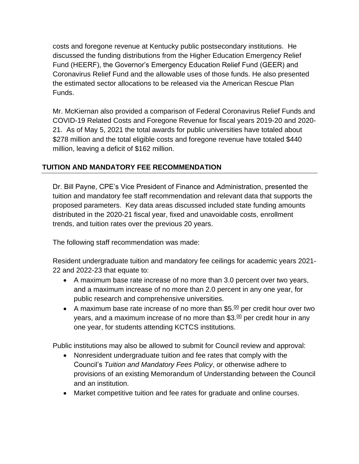costs and foregone revenue at Kentucky public postsecondary institutions. He discussed the funding distributions from the Higher Education Emergency Relief Fund (HEERF), the Governor's Emergency Education Relief Fund (GEER) and Coronavirus Relief Fund and the allowable uses of those funds. He also presented the estimated sector allocations to be released via the American Rescue Plan Funds.

Mr. McKiernan also provided a comparison of Federal Coronavirus Relief Funds and COVID-19 Related Costs and Foregone Revenue for fiscal years 2019-20 and 2020- 21. As of May 5, 2021 the total awards for public universities have totaled about \$278 million and the total eligible costs and foregone revenue have totaled \$440 million, leaving a deficit of \$162 million.

# **TUITION AND MANDATORY FEE RECOMMENDATION**

Dr. Bill Payne, CPE's Vice President of Finance and Administration, presented the tuition and mandatory fee staff recommendation and relevant data that supports the proposed parameters. Key data areas discussed included state funding amounts distributed in the 2020-21 fiscal year, fixed and unavoidable costs, enrollment trends, and tuition rates over the previous 20 years.

The following staff recommendation was made:

Resident undergraduate tuition and mandatory fee ceilings for academic years 2021- 22 and 2022-23 that equate to:

- A maximum base rate increase of no more than 3.0 percent over two years, and a maximum increase of no more than 2.0 percent in any one year, for public research and comprehensive universities.
- A maximum base rate increase of no more than  $$5.00$  per credit hour over two years, and a maximum increase of no more than  $$3.00$  per credit hour in any one year, for students attending KCTCS institutions.

Public institutions may also be allowed to submit for Council review and approval:

- Nonresident undergraduate tuition and fee rates that comply with the Council's *Tuition and Mandatory Fees Policy*, or otherwise adhere to provisions of an existing Memorandum of Understanding between the Council and an institution.
- Market competitive tuition and fee rates for graduate and online courses.